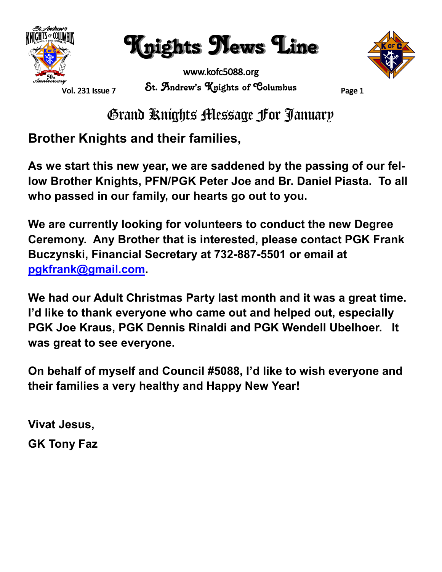

Knights News Line



www.kofc5088.org St. Andrew's Knights of Columbus Page 1



Grand Knights Message For January

#### **Brother Knights and their families,**

**As we start this new year, we are saddened by the passing of our fellow Brother Knights, PFN/PGK Peter Joe and Br. Daniel Piasta. To all who passed in our family, our hearts go out to you.**

**We are currently looking for volunteers to conduct the new Degree Ceremony. Any Brother that is interested, please contact PGK Frank Buczynski, Financial Secretary at 732-887-5501 or email at [pgkfrank@gmail.com.](mailto:pgkfrank@gmail.com)**

**We had our Adult Christmas Party last month and it was a great time. I'd like to thank everyone who came out and helped out, especially PGK Joe Kraus, PGK Dennis Rinaldi and PGK Wendell Ubelhoer. It was great to see everyone.**

**On behalf of myself and Council #5088, I'd like to wish everyone and their families a very healthy and Happy New Year!**

**Vivat Jesus, GK Tony Faz**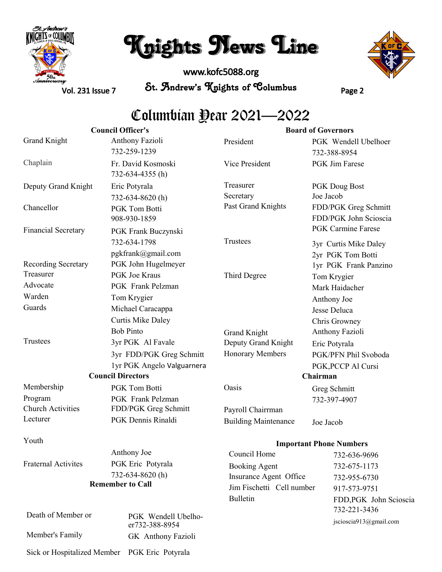

### Knights News Line

www.kofc5088.org St. Andrew's Knights of Columbus Page 2



Vol. 231 Issue 7

### Columbian Dear 2021–2022

| <b>Council Officer's</b>    |                                        | <b>Board of Governors</b>   |                                               |
|-----------------------------|----------------------------------------|-----------------------------|-----------------------------------------------|
| <b>Grand Knight</b>         | Anthony Fazioli                        | President                   | PGK Wendell Ubelhoer                          |
|                             | 732-259-1239                           |                             | 732-388-8954                                  |
| Chaplain                    | Fr. David Kosmoski<br>732-634-4355 (h) | Vice President              | <b>PGK</b> Jim Farese                         |
| Deputy Grand Knight         | Eric Potyrala                          | Treasurer                   | PGK Doug Bost                                 |
|                             | 732-634-8620(h)                        | Secretary                   | Joe Jacob                                     |
| Chancellor                  | <b>PGK Tom Botti</b><br>908-930-1859   | Past Grand Knights          | FDD/PGK Greg Schmitt<br>FDD/PGK John Scioscia |
| <b>Financial Secretary</b>  | PGK Frank Buczynski                    |                             | <b>PGK Carmine Farese</b>                     |
|                             | 732-634-1798                           | Trustees                    | 3yr Curtis Mike Daley                         |
|                             | pgkfrank@gmail.com                     |                             | 2yr PGK Tom Botti                             |
| Recording Secretary         | PGK John Hugelmeyer                    |                             | 1yr PGK Frank Panzino                         |
| Treasurer                   | PGK Joe Kraus                          | Third Degree                | Tom Krygier                                   |
| Advocate                    | PGK Frank Pelzman                      |                             | Mark Haidacher                                |
| Warden                      | Tom Krygier                            |                             | Anthony Joe                                   |
| Guards                      | Michael Caracappa                      |                             | Jesse Deluca                                  |
|                             | <b>Curtis Mike Daley</b>               |                             | Chris Growney                                 |
|                             | <b>Bob Pinto</b>                       | Grand Knight                | Anthony Fazioli                               |
| Trustees                    | 3yr PGK Al Favale                      | Deputy Grand Knight         | Eric Potyrala                                 |
|                             | 3yr FDD/PGK Greg Schmitt               | Honorary Members            | PGK/PFN Phil Svoboda                          |
|                             | 1yr PGK Angelo Valguarnera             |                             | PGK, PCCP Al Cursi                            |
|                             | <b>Council Directors</b>               |                             | Chairman                                      |
| Membership                  | PGK Tom Botti                          | Oasis                       | Greg Schmitt                                  |
| Program                     | PGK Frank Pelzman                      |                             | 732-397-4907                                  |
| <b>Church Activities</b>    | FDD/PGK Greg Schmitt                   | Payroll Chairrman           |                                               |
| Lecturer                    | PGK Dennis Rinaldi                     | <b>Building Maintenance</b> | Joe Jacob                                     |
| Youth                       |                                        |                             | <b>Important Phone Numbers</b>                |
|                             | Anthony Joe                            | Council Home                | 732-636-9696                                  |
| <b>Fraternal Activites</b>  | PGK Eric Potyrala                      | <b>Booking Agent</b>        | 732-675-1173                                  |
|                             | 732-634-8620(h)                        | Insurance Agent Office      | 732-955-6730                                  |
| <b>Remember to Call</b>     |                                        | Jim Fischetti Cell number   | 917-573-9751                                  |
|                             |                                        | <b>Bulletin</b>             | FDD, PGK John Scioscia<br>732-221-3436        |
| Death of Member or          | PGK Wendell Ubelho-<br>er732-388-8954  |                             | jscioscia913@gmail.com                        |
| Member's Family             | GK Anthony Fazioli                     |                             |                                               |
| Sick or Hospitalized Member | PGK Eric Potyrala                      |                             |                                               |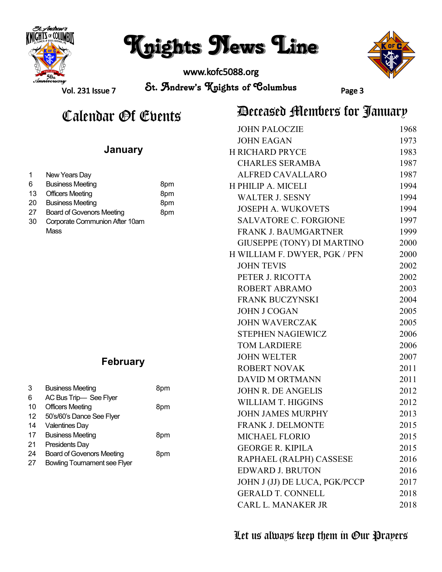

### Knights News Line

www.kofc5088.org



Vol. 231 Issue 7

St. Andrew's Knights of Columbus Page 3

## Calendar Of Ebents<br>Calendar Of Ebents

#### 1 6 13 Officers Meeting 20 Business Meeting 27 30 Corporate Communion After 10am New Years Day Business Meeting Board of Govenors Meeting **Mass** 8pm 8pm 8pm 8pm **January** 3 Business Meeting 8pm **February**

| 6  | AC Bus Trip-See Flyer               |     |
|----|-------------------------------------|-----|
| 10 | <b>Officers Meeting</b>             | 8pm |
| 12 | 50's/60's Dance See Flyer           |     |
| 14 | <b>Valentines Day</b>               |     |
| 17 | <b>Business Meeting</b>             | 8pm |
| 21 | Presidents Day                      |     |
| 24 | <b>Board of Govenors Meeting</b>    | 8pm |
| 27 | <b>Bowling Tournament see Flyer</b> |     |

| <b>JOHN PALOCZIE</b>          | 1968 |
|-------------------------------|------|
| <b>JOHN EAGAN</b>             | 1973 |
| H RICHARD PRYCE               | 1983 |
| <b>CHARLES SERAMBA</b>        | 1987 |
| <b>ALFRED CAVALLARO</b>       | 1987 |
| H PHILIP A. MICELI            | 1994 |
| <b>WALTER J. SESNY</b>        | 1994 |
| <b>JOSEPH A. WUKOVETS</b>     | 1994 |
| <b>SALVATORE C. FORGIONE</b>  | 1997 |
| <b>FRANK J. BAUMGARTNER</b>   | 1999 |
| GIUSEPPE (TONY) DI MARTINO    | 2000 |
| H WILLIAM F. DWYER, PGK / PFN | 2000 |
| <b>JOHN TEVIS</b>             | 2002 |
| PETER J. RICOTTA              | 2002 |
| <b>ROBERT ABRAMO</b>          | 2003 |
| FRANK BUCZYNSKI               | 2004 |
| <b>JOHN J COGAN</b>           | 2005 |
| <b>JOHN WAVERCZAK</b>         | 2005 |
| <b>STEPHEN NAGIEWICZ</b>      | 2006 |
| <b>TOM LARDIERE</b>           | 2006 |
| <b>JOHN WELTER</b>            | 2007 |
| <b>ROBERT NOVAK</b>           | 2011 |
| <b>DAVID M ORTMANN</b>        | 2011 |
| <b>JOHN R. DE ANGELIS</b>     | 2012 |
| <b>WILLIAM T. HIGGINS</b>     | 2012 |
| <b>JOHN JAMES MURPHY</b>      | 2013 |
| <b>FRANK J. DELMONTE</b>      | 2015 |
| <b>MICHAEL FLORIO</b>         | 2015 |
| <b>GEORGE R. KIPILA</b>       | 2015 |
| RAPHAEL (RALPH) CASSESE       | 2016 |
| <b>EDWARD J. BRUTON</b>       | 2016 |
| JOHN J (JJ) DE LUCA, PGK/PCCP | 2017 |
| <b>GERALD T. CONNELL</b>      | 2018 |
| CARL L. MANAKER JR            | 2018 |
|                               |      |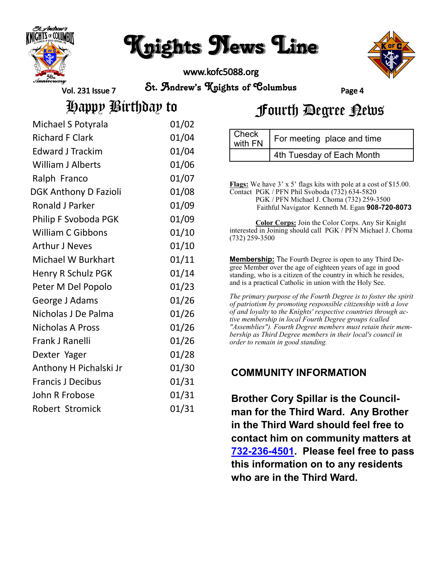

### Knights News Line

www.kofc5088.org



Vol. 231 Issue 7

St. Andrew's Knights of Columbus Page 4

 $C<sub>back</sub>$ 

Happy Birthday to<br>Fourth Degree

|  | Fourth Degree Rews |  |
|--|--------------------|--|
|--|--------------------|--|

| Michael S Potyrala           | 01/02 |
|------------------------------|-------|
| <b>Richard F Clark</b>       | 01/04 |
| <b>Edward J Trackim</b>      | 01/04 |
| <b>William J Alberts</b>     | 01/06 |
| Ralph Franco                 | 01/07 |
| <b>DGK Anthony D Fazioli</b> | 01/08 |
| Ronald J Parker              | 01/09 |
| Philip F Svoboda PGK         | 01/09 |
| <b>William C Gibbons</b>     | 01/10 |
| <b>Arthur J Neves</b>        | 01/10 |
| <b>Michael W Burkhart</b>    | 01/11 |
| Henry R Schulz PGK           | 01/14 |
| Peter M Del Popolo           | 01/23 |
| George J Adams               | 01/26 |
| Nicholas J De Palma          | 01/26 |
| <b>Nicholas A Pross</b>      | 01/26 |
| Frank J Ranelli              | 01/26 |
| Dexter Yager                 | 01/28 |
| Anthony H Pichalski Jr       | 01/30 |
| <b>Francis J Decibus</b>     | 01/31 |
| John R Frobose               | 01/31 |
| Robert Stromick              | 01/31 |

| I VIICUN<br>with FN | For meeting place and time |
|---------------------|----------------------------|
|                     | 4th Tuesday of Each Month  |
|                     |                            |

**Flags:** We have 3' x 5' flags kits with pole at a cost of \$15.00. Contact PGK / PFN Phil Svoboda (732) 634-5820 PGK / PFN Michael J. Choma (732) 259-3500 Faithful Navigator Kenneth M. Egan **908-720-8073**

**Color Corps:** Join the Color Corps. Any Sir Knight interested in Joining should call PGK / PFN Michael J. Choma (732) 259-3500

**Membership:** The Fourth Degree is open to any Third Degree Member over the age of eighteen years of age in good standing, who is a citizen of the country in which he resides, and is a practical Catholic in union with the Holy See.

*The primary purpose of the Fourth Degree is to foster the spirit of patriotism by promoting responsible citizenship with a love of and loyalty* to *the Knights' respective countries through active membership in local Fourth Degree groups (called "Assemblies"). Fourth Degree members must retain their membership as Third Degree members in their local's council in order to remain in good standing.*

#### **COMMUNITY INFORMATION**

**Brother Cory Spillar is the Councilman for the Third Ward. Any Brother in the Third Ward should feel free to contact him on community matters at 732-236-[4501.](tel:732-236-4501) Please feel free to pass this information on to any residents who are in the Third Ward.**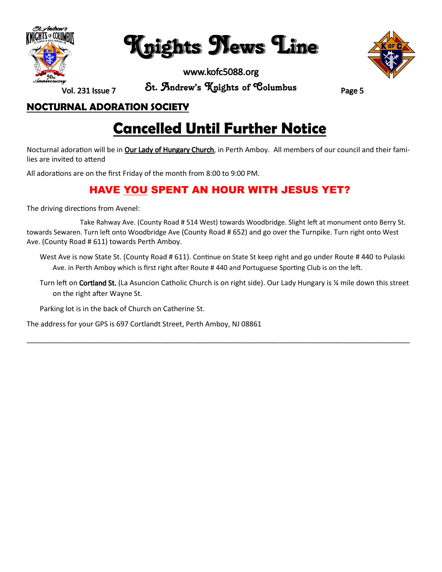

Knights News Line

www.kofc5088.org



Vol. 231 Issue 7

St. Andrew's Knights of Columbus Page 5

#### **NOCTURNAL ADORATION SOCIETY**

### **Cancelled Until Further Notice**

Nocturnal adoration will be in **Our Lady of Hungary Church**, in Perth Amboy. All members of our council and their families are invited to attend

All adorations are on the first Friday of the month from 8:00 to 9:00 PM.

#### **HAVE YOU SPENT AN HOUR WITH JESUS YET?**

The driving directions from Avenel:

 Take Rahway Ave. (County Road # 514 West) towards Woodbridge. Slight left at monument onto Berry St. towards Sewaren. Turn left onto Woodbridge Ave (County Road # 652) and go over the Turnpike. Turn right onto West Ave. (County Road # 611) towards Perth Amboy.

West Ave is now State St. (County Road # 611). Continue on State St keep right and go under Route # 440 to Pulaski Ave. in Perth Amboy which is first right after Route # 440 and Portuguese Sporting Club is on the left.

Turn left on Cortland St. (La Asuncion Catholic Church is on right side). Our Lady Hungary is ¼ mile down this street on the right after Wayne St.

\_\_\_\_\_\_\_\_\_\_\_\_\_\_\_\_\_\_\_\_\_\_\_\_\_\_\_\_\_\_\_\_\_\_\_\_\_\_\_\_\_\_\_\_\_\_\_\_\_\_\_\_\_\_\_\_\_\_\_\_\_\_\_\_\_\_\_\_\_\_\_\_\_\_\_\_\_\_\_\_\_\_\_\_\_\_\_\_\_\_\_\_\_\_\_\_\_

Parking lot is in the back of Church on Catherine St.

The address for your GPS is 697 Cortlandt Street, Perth Amboy, NJ 08861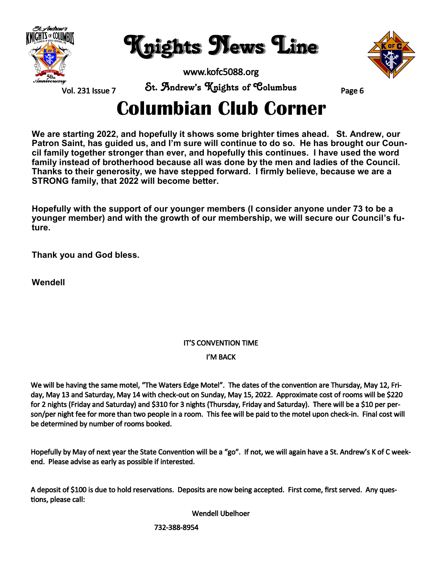

Knights News Line

www.kofc5088.org



Vol. 231 Issue 7

St. Andrew's Knights of Columbus Page 6

### **Columbian Club Corner**

**We are starting 2022, and hopefully it shows some brighter times ahead. St. Andrew, our Patron Saint, has guided us, and I'm sure will continue to do so. He has brought our Council family together stronger than ever, and hopefully this continues. I have used the word family instead of brotherhood because all was done by the men and ladies of the Council. Thanks to their generosity, we have stepped forward. I firmly believe, because we are a STRONG family, that 2022 will become better.**

**Hopefully with the support of our younger members (I consider anyone under 73 to be a younger member) and with the growth of our membership, we will secure our Council's future.**

**Thank you and God bless.**

**Wendell** 

#### IT'S CONVENTION TIME

#### I'M BACK

We will be having the same motel, "The Waters Edge Motel". The dates of the convention are Thursday, May 12, Friday, May 13 and Saturday, May 14 with check-out on Sunday, May 15, 2022. Approximate cost of rooms will be \$220 for 2 nights (Friday and Saturday) and \$310 for 3 nights (Thursday, Friday and Saturday). There will be a \$10 per person/per night fee for more than two people in a room. This fee will be paid to the motel upon check-in. Final cost will be determined by number of rooms booked.

Hopefully by May of next year the State Convention will be a "go". If not, we will again have a St. Andrew's K of C weekend. Please advise as early as possible if interested.

A deposit of \$100 is due to hold reservations. Deposits are now being accepted. First come, first served. Any questions, please call:

Wendell Ubelhoer

732-388-8954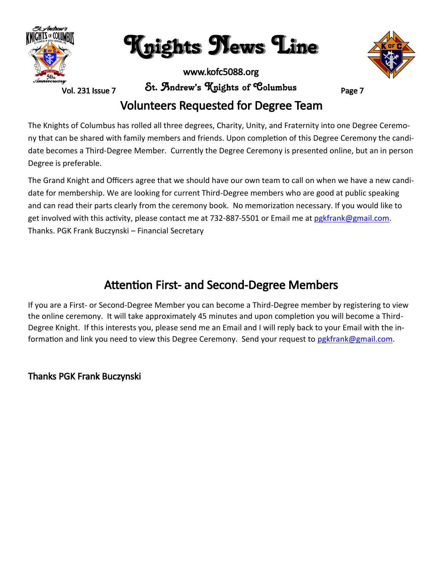

Knights News Line

www.kofc5088.org

Vol. 231 Issue 7

St. Andrew's Knights of Columbus Page 7

#### Volunteers Requested for Degree Team

The Knights of Columbus has rolled all three degrees, Charity, Unity, and Fraternity into one Degree Ceremony that can be shared with family members and friends. Upon completion of this Degree Ceremony the candidate becomes a Third-Degree Member. Currently the Degree Ceremony is presented online, but an in person Degree is preferable.

The Grand Knight and Officers agree that we should have our own team to call on when we have a new candidate for membership. We are looking for current Third-Degree members who are good at public speaking and can read their parts clearly from the ceremony book. No memorization necessary. If you would like to get involved with this activity, please contact me at 732-887-5501 or Email me at pgkfrank@gmail.com. Thanks. PGK Frank Buczynski – Financial Secretary

#### Attention First- and Second-Degree Members

If you are a First- or Second-Degree Member you can become a Third-Degree member by registering to view the online ceremony. It will take approximately 45 minutes and upon completion you will become a Third-Degree Knight. If this interests you, please send me an Email and I will reply back to your Email with the information and link you need to view this Degree Ceremony. Send your request to [pgkfrank@gmail.com.](mailto:pgkfrank@gmail.com)

#### Thanks PGK Frank Buczynski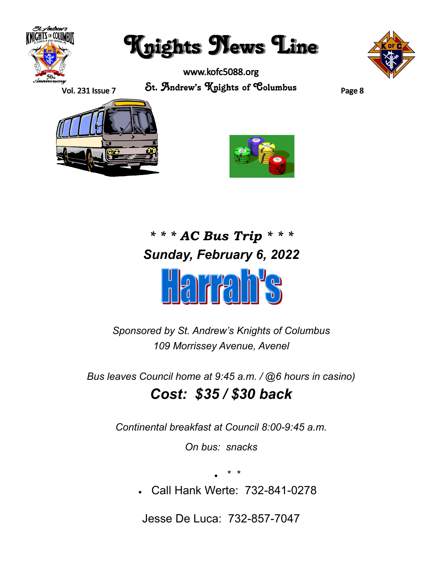

Knights News Line

www.kofc5088.org St. Andrew's Knights of Columbus Page 8



Vol. 231 Issue 7





### *\* \* \* AC Bus Trip \* \* \* Sunday, February 6, 2022*



*Sponsored by St. Andrew's Knights of Columbus 109 Morrissey Avenue, Avenel*

*Bus leaves Council home at 9:45 a.m. / @6 hours in casino)*

### *Cost: \$35 / \$30 back*

*Continental breakfast at Council 8:00-9:45 a.m.*

*On bus: snacks*

• \* \*

• Call Hank Werte: 732-841-0278

Jesse De Luca: 732-857-7047